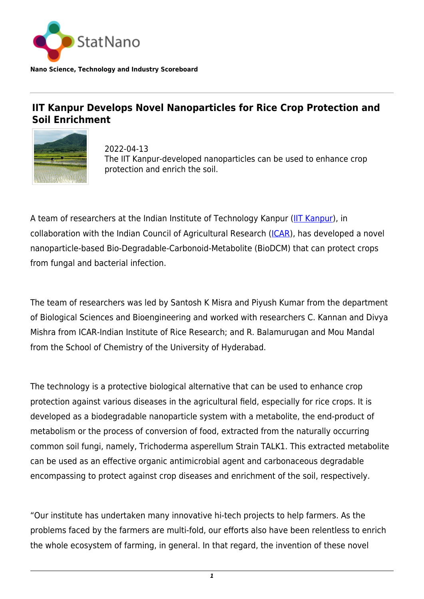

## **IIT Kanpur Develops Novel Nanoparticles for Rice Crop Protection and Soil Enrichment**



2022-04-13 The IIT Kanpur-developed nanoparticles can be used to enhance crop protection and enrich the soil.

A team of researchers at the Indian Institute of Technology Kanpur [\(IIT Kanpur](https://www.iitk.ac.in)), in collaboration with the Indian Council of Agricultural Research [\(ICAR](https://icar.org.in/)), has developed a novel nanoparticle-based Bio-Degradable-Carbonoid-Metabolite (BioDCM) that can protect crops from fungal and bacterial infection.

The team of researchers was led by Santosh K Misra and Piyush Kumar from the department of Biological Sciences and Bioengineering and worked with researchers C. Kannan and Divya Mishra from ICAR-Indian Institute of Rice Research; and R. Balamurugan and Mou Mandal from the School of Chemistry of the University of Hyderabad.

The technology is a protective biological alternative that can be used to enhance crop protection against various diseases in the agricultural field, especially for rice crops. It is developed as a biodegradable nanoparticle system with a metabolite, the end-product of metabolism or the process of conversion of food, extracted from the naturally occurring common soil fungi, namely, Trichoderma asperellum Strain TALK1. This extracted metabolite can be used as an effective organic antimicrobial agent and carbonaceous degradable encompassing to protect against crop diseases and enrichment of the soil, respectively.

"Our institute has undertaken many innovative hi-tech projects to help farmers. As the problems faced by the farmers are multi-fold, our efforts also have been relentless to enrich the whole ecosystem of farming, in general. In that regard, the invention of these novel